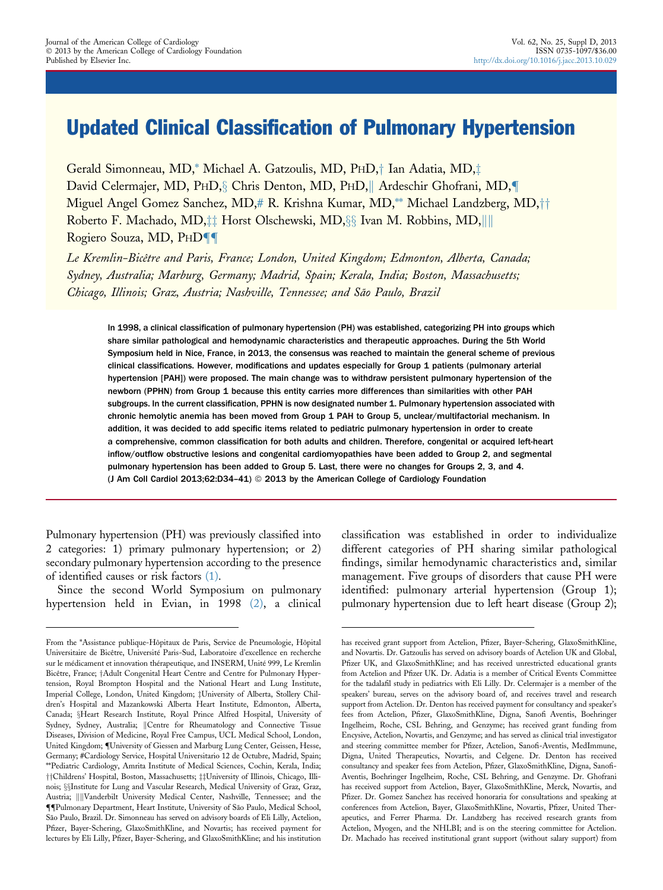# Updated Clinical Classification of Pulmonary Hypertension

Gerald Simonneau, MD,\* Michael A. Gatzoulis, MD, PHD,† Ian Adatia, MD,‡ David Celermajer, MD, PHD, Chris Denton, MD, PHD, Ardeschir Ghofrani, MD, Miguel Angel Gomez Sanchez, MD,# R. Krishna Kumar, MD,\*\* Michael Landzberg, MD,†† Roberto F. Machado, MD,<sup>††</sup> Horst Olschewski, MD,§§ Ivan M. Robbins, MD,|||| Rogiero Souza, MD, PHD<sup>1</sup>

Le Kremlin-Bicêtre and Paris, France; London, United Kingdom; Edmonton, Alberta, Canada; Sydney, Australia; Marburg, Germany; Madrid, Spain; Kerala, India; Boston, Massachusetts; Chicago, Illinois; Graz, Austria; Nashville, Tennessee; and São Paulo, Brazil

In 1998, a clinical classification of pulmonary hypertension (PH) was established, categorizing PH into groups which share similar pathological and hemodynamic characteristics and therapeutic approaches. During the 5th World Symposium held in Nice, France, in 2013, the consensus was reached to maintain the general scheme of previous clinical classifications. However, modifications and updates especially for Group 1 patients (pulmonary arterial hypertension [PAH]) were proposed. The main change was to withdraw persistent pulmonary hypertension of the newborn (PPHN) from Group 1 because this entity carries more differences than similarities with other PAH subgroups. In the current classification, PPHN is now designated number 1. Pulmonary hypertension associated with chronic hemolytic anemia has been moved from Group 1 PAH to Group 5, unclear/multifactorial mechanism. In addition, it was decided to add specific items related to pediatric pulmonary hypertension in order to create a comprehensive, common classification for both adults and children. Therefore, congenital or acquired left-heart inflow/outflow obstructive lesions and congenital cardiomyopathies have been added to Group 2, and segmental pulmonary hypertension has been added to Group 5. Last, there were no changes for Groups 2, 3, and 4. (J Am Coll Cardiol 2013;62:D34-41) @ 2013 by the American College of Cardiology Foundation

Pulmonary hypertension (PH) was previously classified into 2 categories: 1) primary pulmonary hypertension; or 2) secondary pulmonary hypertension according to the presence of identified causes or risk factors [\(1\).](#page-6-0)

Since the second World Symposium on pulmonary hypertension held in Evian, in 1998 [\(2\),](#page-6-0) a clinical classification was established in order to individualize different categories of PH sharing similar pathological findings, similar hemodynamic characteristics and, similar management. Five groups of disorders that cause PH were identified: pulmonary arterial hypertension (Group 1); pulmonary hypertension due to left heart disease (Group 2);

From the \*Assistance publique-Hôpitaux de Paris, Service de Pneumologie, Hôpital Universitaire de Bicêtre, Université Paris-Sud, Laboratoire d'excellence en recherche sur le médicament et innovation thérapeutique, and INSERM, Unité 999, Le Kremlin Bicêtre, France; †Adult Congenital Heart Centre and Centre for Pulmonar[y](#page-6-0) Hypertension, Royal Brompton Hospital and the National Heart and Lung Institute, Imperial College, London, United Kingdom; <sup>†</sup>University of Alberta, Stollery Children's Hospital and Mazankowski Alberta Heart Institute, Edmonton, Alberta, Canada; §Heart Research Institute, Royal Prince Alfred Hospital, University of Sydney, Sydney, Australia; ||Centre for Rheumatology and Connective Tissue Diseases, Division of Medicine, Royal Free Campus, UCL Medical School, London, United Kingdom; [{](#page-6-0)University of Giessen and Marburg Lung Center, Geissen, Hesse, Germany; #Cardiology Service, Hospital Universitario 12 de Octubre, Madrid, Spain; \*\*Pediatric Cardiology, Amrita Institute of Medical Sciences, Cochin, Kerala, India; ††Childrens' Hospital, Boston, Massachusetts; ‡‡University of Illinois, Chicago, Illinois; §§Institute for Lung and Vascular Research, Medical University of Graz, Graz, Austria; ||||Vanderbilt University Medical Center, Nashville, Tennessee; and the [{{](#page-6-0)Pulmonary Department, Heart Institute, University of São Paulo, Medical School, São Paulo, Brazil. Dr. Simonneau has served on advisory boards of Eli Lilly, Actelion, Pfizer, Bayer-Schering, GlaxoSmithKline, and Novartis; has received payment for lectures by Eli Lilly, Pfizer, Bayer-Schering, and GlaxoSmithKline; and his institution

has received grant support from Actelion, Pfizer, Bayer-Schering, GlaxoSmithKline, and Novartis. Dr. Gatzoulis has served on advisory boards of Actelion UK and Global, Pfizer UK, and GlaxoSmithKline; and has received unrestricted educational grants from Actelion and Pfizer UK. Dr. Adatia is a member of Critical Events Committee for the tadalafil study in pediatrics with Eli Lilly. Dr. Celermajer is a member of the speakers' bureau, serves on the advisory board of, and receives travel and research support from Actelion. Dr. Denton has received payment for consultancy and speaker's fees from Actelion, Pfizer, GlaxoSmithKline, Digna, Sanofi Aventis, Boehringer Ingelheim, Roche, CSL Behring, and Genzyme; has received grant funding from Encysive, Actelion, Novartis, and Genzyme; and has served as clinical trial investigator and steering committee member for Pfizer, Actelion, Sanofi-Aventis, MedImmune, Digna, United Therapeutics, Novartis, and Celgene. Dr. Denton has received consultancy and speaker fees from Actelion, Pfizer, GlaxoSmithKline, Digna, Sanofi-Aventis, Boehringer Ingelheim, Roche, CSL Behring, and Genzyme. Dr. Ghofrani has received support from Actelion, Bayer, GlaxoSmithKline, Merck, Novartis, and Pfizer. Dr. Gomez Sanchez has received honoraria for consultations and speaking at conferences from Actelion, Bayer, GlaxoSmithKline, Novartis, Pfizer, United Therapeutics, and Ferrer Pharma. Dr. Landzberg has received research grants from Actelion, Myogen, and the NHLBI; and is on the steering committee for Actelion. Dr. Machado has received institutional grant support (without salary support) from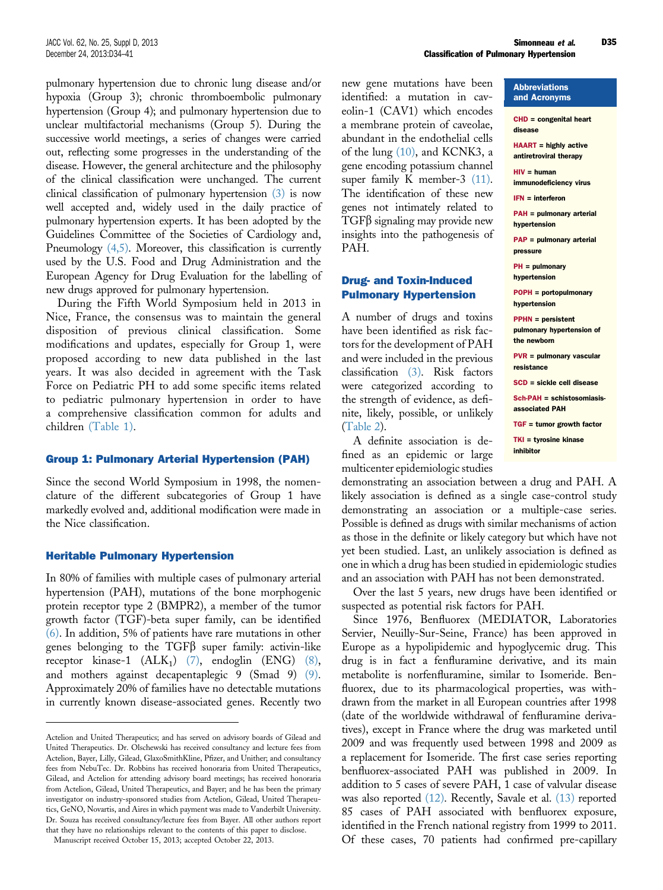pulmonary hypertension due to chronic lung disease and/or hypoxia (Group 3); chronic thromboembolic pulmonary hypertension (Group 4); and pulmonary hypertension due to unclear multifactorial mechanisms (Group 5). During the successive world meetings, a series of changes were carried out, reflecting some progresses in the understanding of the disease. However, the general architecture and the philosophy of the clinical classification were unchanged. The current clinical classification of pulmonary hypertension [\(3\)](#page-6-0) is now well accepted and, widely used in the daily practice of pulmonary hypertension experts. It has been adopted by the Guidelines Committee of the Societies of Cardiology and, Pneumology  $(4,5)$ . Moreover, this classification is currently used by the U.S. Food and Drug Administration and the European Agency for Drug Evaluation for the labelling of new drugs approved for pulmonary hypertension.

During the Fifth World Symposium held in 2013 in Nice, France, the consensus was to maintain the general disposition of previous clinical classification. Some modifications and updates, especially for Group 1, were proposed according to new data published in the last years. It was also decided in agreement with the Task Force on Pediatric PH to add some specific items related to pediatric pulmonary hypertension in order to have a comprehensive classification common for adults and children [\(Table 1\).](#page-2-0)

#### Group 1: Pulmonary Arterial Hypertension (PAH)

Since the second World Symposium in 1998, the nomenclature of the different subcategories of Group 1 have markedly evolved and, additional modification were made in the Nice classification.

#### Heritable Pulmonary Hypertension

In 80% of families with multiple cases of pulmonary arterial hypertension (PAH), mutations of the bone morphogenic protein receptor type 2 (BMPR2), a member of the tumor growth factor (TGF)-beta super family, can be identified [\(6\)](#page-6-0). In addition, 5% of patients have rare mutations in other genes belonging to the  $TGF\beta$  super family: activin-like receptor kinase-1  $(ALK_1)$   $(7)$ , endoglin  $(ENG)$   $(8)$ , and mothers against decapentaplegic 9 (Smad 9) [\(9\).](#page-6-0) Approximately 20% of families have no detectable mutations in currently known disease-associated genes. Recently two

Abbreviations

new gene mutations have been identified: a mutation in caveolin-1 (CAV1) which encodes a membrane protein of caveolae, abundant in the endothelial cells of the lung [\(10\),](#page-6-0) and KCNK3, a gene encoding potassium channel super family K member-3 [\(11\).](#page-6-0) The identification of these new genes not intimately related to  $TGF\beta$  signaling may provide new insights into the pathogenesis of PAH.

## Drug- and Toxin-Induced Pulmonary Hypertension

A number of drugs and toxins have been identified as risk factors for the development of PAH and were included in the previous classification [\(3\).](#page-6-0) Risk factors were categorized according to the strength of evidence, as definite, likely, possible, or unlikely [\(Table 2](#page-2-0)).

A definite association is defined as an epidemic or large multicenter epidemiologic studies

demonstrating an association between a drug and PAH. A likely association is defined as a single case-control study demonstrating an association or a multiple-case series. Possible is defined as drugs with similar mechanisms of action as those in the definite or likely category but which have not yet been studied. Last, an unlikely association is defined as one in which a drug has been studied in epidemiologic studies and an association with PAH has not been demonstrated.

Over the last 5 years, new drugs have been identified or suspected as potential risk factors for PAH.

Since 1976, Benfluorex (MEDIATOR, Laboratories Servier, Neuilly-Sur-Seine, France) has been approved in Europe as a hypolipidemic and hypoglycemic drug. This drug is in fact a fenfluramine derivative, and its main metabolite is norfenfluramine, similar to Isomeride. Benfluorex, due to its pharmacological properties, was withdrawn from the market in all European countries after 1998 (date of the worldwide withdrawal of fenfluramine derivatives), except in France where the drug was marketed until 2009 and was frequently used between 1998 and 2009 as a replacement for Isomeride. The first case series reporting benfluorex-associated PAH was published in 2009. In addition to 5 cases of severe PAH, 1 case of valvular disease was also reported [\(12\)](#page-6-0). Recently, Savale et al. [\(13\)](#page-6-0) reported 85 cases of PAH associated with benfluorex exposure, identified in the French national registry from 1999 to 2011. Of these cases, 70 patients had confirmed pre-capillary

| and Acronyms                                                         |
|----------------------------------------------------------------------|
| $CHD =$ congenital heart<br>disease                                  |
| <b>HAART</b> = highly active<br>antiretroviral therapy               |
| $HIV = human$<br>immunodeficiency virus                              |
| $IFN = interferon$                                                   |
| PAH = pulmonary arterial<br>hypertension                             |
| <b>PAP</b> = pulmonary arterial<br>pressure                          |
| $PH = pulmonary$<br>hypertension                                     |
| <b>POPH</b> = portopulmonary<br>hypertension                         |
| <b>PPHN</b> = persistent<br>pulmonary hypertension of<br>the newborn |
| $PVR =$ pulmonary vascular<br>resistance                             |
| SCD = sickle cell disease                                            |
| Sch-PAH = schistosomiasis-<br>associated PAH                         |
| $TGF =$ tumor growth factor                                          |
| $TKI = tyrosine kinase$<br>inhibitor                                 |

Actelion and United Therapeutics; and has served on advisory boards of Gilead and United Therapeutics. Dr. Olschewski has received consultancy and lecture fees from Actelion, Bayer, Lilly, Gilead, GlaxoSmithKline, Pfizer, and Unither; and consultancy fees from NebuTec. Dr. Robbins has received honoraria from United Therapeutics, Gilead, and Actelion for attending advisory board meetings; has received honoraria from Actelion, Gilead, United Therapeutics, and Bayer; and he has been the primary investigator on industry-sponsored studies from Actelion, Gilead, United Therapeutics, GeNO, Novartis, and Aires in which payment was made to Vanderbilt University. Dr. Souza has received consultancy/lecture fees from Bayer. All other authors report that they have no relationships relevant to the contents of this paper to disclose.

Manuscript received October 15, 2013; accepted October 22, 2013.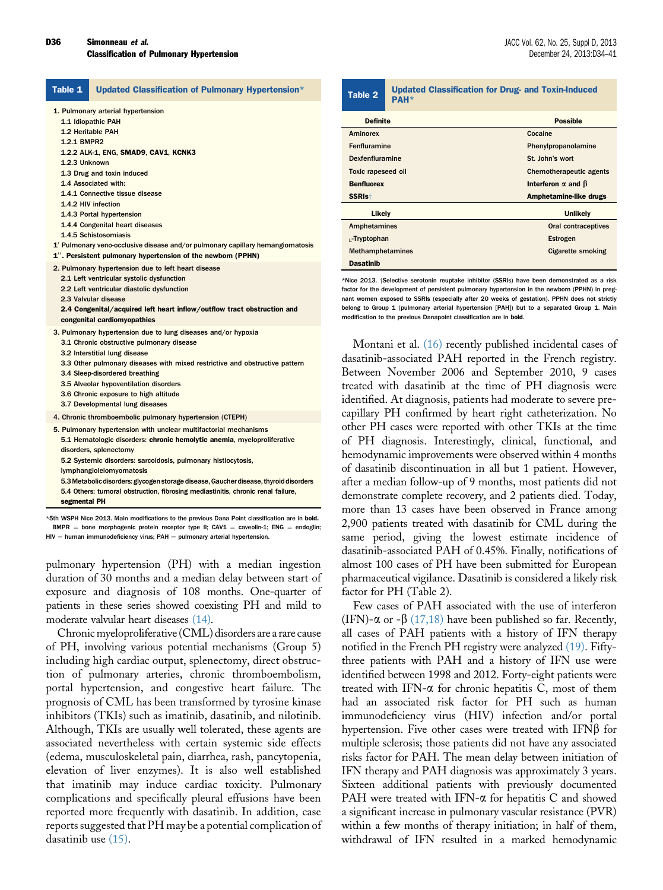<span id="page-2-0"></span>

| Table 1                      | Updated Classification of Pulmonary Hypertension*                                                                                                                                                                                                                                                                                                                                  | Table 2                                                                                                                                                                                                                                                                                                     | <b>Updated Classification for Drug- and Toxin-Induced</b><br><b>PAH*</b>                                                                                                                                                                                                                                                                                                                                                                                         |                                                                                     |  |
|------------------------------|------------------------------------------------------------------------------------------------------------------------------------------------------------------------------------------------------------------------------------------------------------------------------------------------------------------------------------------------------------------------------------|-------------------------------------------------------------------------------------------------------------------------------------------------------------------------------------------------------------------------------------------------------------------------------------------------------------|------------------------------------------------------------------------------------------------------------------------------------------------------------------------------------------------------------------------------------------------------------------------------------------------------------------------------------------------------------------------------------------------------------------------------------------------------------------|-------------------------------------------------------------------------------------|--|
|                              | 1. Pulmonary arterial hypertension<br>1.1 Idiopathic PAH                                                                                                                                                                                                                                                                                                                           | <b>Definite</b>                                                                                                                                                                                                                                                                                             |                                                                                                                                                                                                                                                                                                                                                                                                                                                                  | <b>Possible</b>                                                                     |  |
| 1.2.1 BMPR2<br>1.2.3 Unknown | 1.2 Heritable PAH<br>1.2.2 ALK-1, ENG, SMAD9, CAV1, KCNK3<br>1.3 Drug and toxin induced                                                                                                                                                                                                                                                                                            | <b>Aminorex</b><br>Fenfluramine<br><b>Dexfenfluramine</b><br><b>Toxic rapeseed oil</b>                                                                                                                                                                                                                      |                                                                                                                                                                                                                                                                                                                                                                                                                                                                  | Cocaine<br>Phenylpropanolamine<br>St. John's wort<br><b>Chemotherapeutic agents</b> |  |
|                              | 1.4 Associated with:<br>1.4.1 Connective tissue disease                                                                                                                                                                                                                                                                                                                            |                                                                                                                                                                                                                                                                                                             | <b>Benfluorex</b>                                                                                                                                                                                                                                                                                                                                                                                                                                                | Interferon $\alpha$ and $\beta$<br>Amphetamine-like drugs                           |  |
|                              | 1.4.2 HIV infection<br>1.4.3 Portal hypertension<br>1.4.4 Congenital heart diseases<br>1.4.5 Schistosomiasis<br>1' Pulmonary veno-occlusive disease and/or pulmonary capillary hemangiomatosis<br>1". Persistent pulmonary hypertension of the newborn (PPHN)                                                                                                                      | SSRI <sub>st</sub><br>Likely<br><b>Amphetamines</b><br><sub>L</sub> -Tryptophan<br>Methamphetamines                                                                                                                                                                                                         |                                                                                                                                                                                                                                                                                                                                                                                                                                                                  | <b>Unlikely</b><br>Oral contraceptives<br>Estrogen<br><b>Cigarette smoking</b>      |  |
|                              | 2. Pulmonary hypertension due to left heart disease<br>2.1 Left ventricular systolic dysfunction<br>2.2 Left ventricular diastolic dysfunction<br>2.3 Valvular disease<br>2.4 Congenital/acquired left heart inflow/outflow tract obstruction and<br>congenital cardiomyopathies                                                                                                   | <b>Dasatinib</b>                                                                                                                                                                                                                                                                                            | *Nice 2013. Selective serotonin reuptake inhibitor (SSRIs) have been demonstrated as a risk<br>factor for the development of persistent pulmonary hypertension in the newborn (PPHN) in preg<br>nant women exposed to SSRIs (especially after 20 weeks of gestation). PPHN does not strictly<br>belong to Group 1 (pulmonary arterial hypertension [PAH]) but to a separated Group 1. Main<br>modification to the previous Danapoint classification are in bold. |                                                                                     |  |
|                              | 3. Pulmonary hypertension due to lung diseases and/or hypoxia<br>3.1 Chronic obstructive pulmonary disease<br>3.2 Interstitial lung disease<br>3.3 Other pulmonary diseases with mixed restrictive and obstructive pattern<br>3.4 Sleep-disordered breathing<br>3.5 Alveolar hypoventilation disorders<br>3.6 Chronic exposure to high altitude<br>3.7 Developmental lung diseases |                                                                                                                                                                                                                                                                                                             | Montani et al. (16) recently published incidental cases of<br>dasatinib-associated PAH reported in the French registry.<br>Between November 2006 and September 2010, 9 cases<br>treated with dasatinib at the time of PH diagnosis were<br>identified. At diagnosis, patients had moderate to severe pre-                                                                                                                                                        |                                                                                     |  |
|                              | 4. Chronic thromboembolic pulmonary hypertension (CTEPH)<br>5. Pulmonary hypertension with unclear multifactorial mechanisms<br>5.1 Hematologic disorders: chronic hemolytic anemia, myeloproliferative<br>disorders, splenectomy<br>5.2 Systemic disorders: sarcoidosis, pulmonary histiocytosis,<br>lymphangioleiomyomatosis                                                     | capillary PH confirmed by heart right catheterization. No<br>other PH cases were reported with other TKIs at the time<br>of PH diagnosis. Interestingly, clinical, functional, and<br>hemodynamic improvements were observed within 4 months<br>of dasatinib discontinuation in all but 1 patient. However, |                                                                                                                                                                                                                                                                                                                                                                                                                                                                  |                                                                                     |  |

5.3Metabolic disorders: glycogen storage disease,Gaucher disease, thyroid disorders 5.4 Others: tumoral obstruction, fibrosing mediastinitis, chronic renal failure, segmental PH

\*5th WSPH Nice 2013. Main modifications to the previous Dana Point classification are in bold.  $BMPR =$  bone morphogenic protein receptor type II; CAV1 = caveolin-1; ENG = endoglin;  $HIV =$  human immunodeficiency virus; PAH  $=$  pulmonary arterial hypertension.

pulmonary hypertension (PH) with a median ingestion duration of 30 months and a median delay between start of exposure and diagnosis of 108 months. One-quarter of patients in these series showed coexisting PH and mild to moderate valvular heart diseases [\(14\)](#page-6-0).

Chronic myeloproliferative (CML) disorders are a rare cause of PH, involving various potential mechanisms (Group 5) including high cardiac output, splenectomy, direct obstruction of pulmonary arteries, chronic thromboembolism, portal hypertension, and congestive heart failure. The prognosis of CML has been transformed by tyrosine kinase inhibitors (TKIs) such as imatinib, dasatinib, and nilotinib. Although, TKIs are usually well tolerated, these agents are associated nevertheless with certain systemic side effects (edema, musculoskeletal pain, diarrhea, rash, pancytopenia, elevation of liver enzymes). It is also well established that imatinib may induce cardiac toxicity. Pulmonary complications and specifically pleural effusions have been reported more frequently with dasatinib. In addition, case reports suggested that PH may be a potential complication of dasatinib use [\(15\)](#page-6-0).

identified. At diagnosis, patients had moderate to severe precapillary PH confirmed by heart right catheterization. No other PH cases were reported with other TKIs at the time of PH diagnosis. Interestingly, clinical, functional, and hemodynamic improvements were observed within 4 months of dasatinib discontinuation in all but 1 patient. However, after a median follow-up of 9 months, most patients did not demonstrate complete recovery, and 2 patients died. Today, more than 13 cases have been observed in France among 2,900 patients treated with dasatinib for CML during the same period, giving the lowest estimate incidence of dasatinib-associated PAH of 0.45%. Finally, notifications of almost 100 cases of PH have been submitted for European pharmaceutical vigilance. Dasatinib is considered a likely risk factor for PH (Table 2).

Few cases of PAH associated with the use of interferon (IFN)- $\alpha$  or - $\beta$  [\(17,18\)](#page-6-0) have been published so far. Recently, all cases of PAH patients with a history of IFN therapy notified in the French PH registry were analyzed [\(19\)](#page-6-0). Fiftythree patients with PAH and a history of IFN use were identified between 1998 and 2012. Forty-eight patients were treated with IFN- $\alpha$  for chronic hepatitis C, most of them had an associated risk factor for PH such as human immunodeficiency virus (HIV) infection and/or portal hypertension. Five other cases were treated with  $IFN\beta$  for multiple sclerosis; those patients did not have any associated risks factor for PAH. The mean delay between initiation of IFN therapy and PAH diagnosis was approximately 3 years. Sixteen additional patients with previously documented PAH were treated with IFN- $\alpha$  for hepatitis C and showed a significant increase in pulmonary vascular resistance (PVR) within a few months of therapy initiation; in half of them, withdrawal of IFN resulted in a marked hemodynamic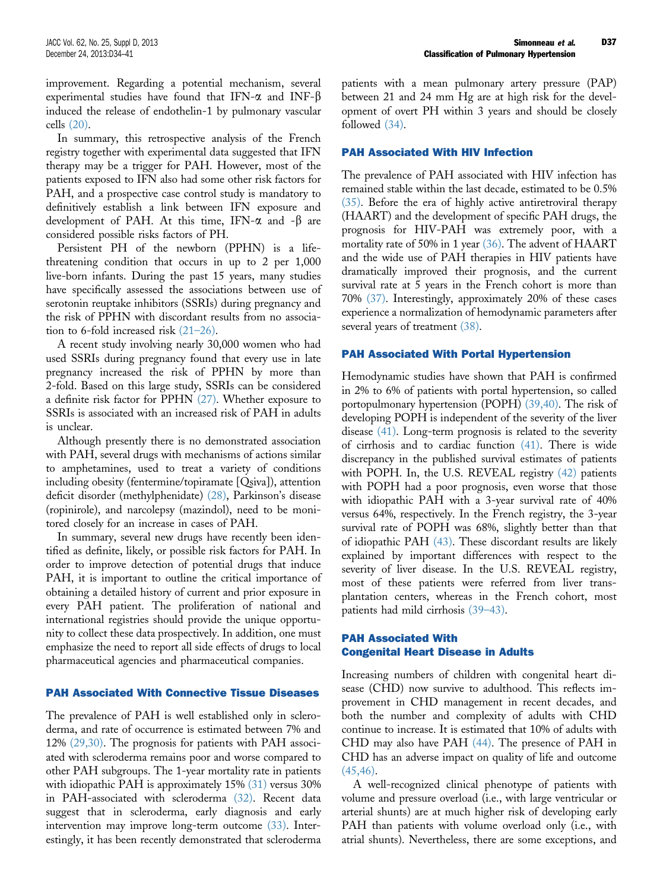improvement. Regarding a potential mechanism, several experimental studies have found that IFN- $\alpha$  and INF- $\beta$ induced the release of endothelin-1 by pulmonary vascular cells [\(20\)](#page-6-0).

In summary, this retrospective analysis of the French registry together with experimental data suggested that IFN therapy may be a trigger for PAH. However, most of the patients exposed to IFN also had some other risk factors for PAH, and a prospective case control study is mandatory to definitively establish a link between IFN exposure and development of PAH. At this time, IFN- $\alpha$  and - $\beta$  are considered possible risks factors of PH.

Persistent PH of the newborn (PPHN) is a lifethreatening condition that occurs in up to 2 per 1,000 live-born infants. During the past 15 years, many studies have specifically assessed the associations between use of serotonin reuptake inhibitors (SSRIs) during pregnancy and the risk of PPHN with discordant results from no association to 6-fold increased risk (21–[26\)](#page-6-0).

A recent study involving nearly 30,000 women who had used SSRIs during pregnancy found that every use in late pregnancy increased the risk of PPHN by more than 2-fold. Based on this large study, SSRIs can be considered a definite risk factor for PPHN [\(27\).](#page-6-0) Whether exposure to SSRIs is associated with an increased risk of PAH in adults is unclear.

Although presently there is no demonstrated association with PAH, several drugs with mechanisms of actions similar to amphetamines, used to treat a variety of conditions including obesity (fentermine/topiramate [Qsiva]), attention deficit disorder (methylphenidate) [\(28\),](#page-6-0) Parkinson's disease (ropinirole), and narcolepsy (mazindol), need to be monitored closely for an increase in cases of PAH.

In summary, several new drugs have recently been identified as definite, likely, or possible risk factors for PAH. In order to improve detection of potential drugs that induce PAH, it is important to outline the critical importance of obtaining a detailed history of current and prior exposure in every PAH patient. The proliferation of national and international registries should provide the unique opportunity to collect these data prospectively. In addition, one must emphasize the need to report all side effects of drugs to local pharmaceutical agencies and pharmaceutical companies.

#### PAH Associated With Connective Tissue Diseases

The prevalence of PAH is well established only in scleroderma, and rate of occurrence is estimated between 7% and 12% [\(29,30\).](#page-6-0) The prognosis for patients with PAH associated with scleroderma remains poor and worse compared to other PAH subgroups. The 1-year mortality rate in patients with idiopathic PAH is approximately 15% [\(31\)](#page-6-0) versus 30% in PAH-associated with scleroderma [\(32\).](#page-6-0) Recent data suggest that in scleroderma, early diagnosis and early intervention may improve long-term outcome [\(33\).](#page-6-0) Interestingly, it has been recently demonstrated that scleroderma

patients with a mean pulmonary artery pressure (PAP) between 21 and 24 mm Hg are at high risk for the development of overt PH within 3 years and should be closely followed [\(34\).](#page-6-0)

### PAH Associated With HIV Infection

The prevalence of PAH associated with HIV infection has remained stable within the last decade, estimated to be 0.5% [\(35\)](#page-6-0). Before the era of highly active antiretroviral therapy (HAART) and the development of specific PAH drugs, the prognosis for HIV-PAH was extremely poor, with a mortality rate of 50% in 1 year [\(36\).](#page-6-0) The advent of HAART and the wide use of PAH therapies in HIV patients have dramatically improved their prognosis, and the current survival rate at 5 years in the French cohort is more than 70% [\(37\)](#page-6-0). Interestingly, approximately 20% of these cases experience a normalization of hemodynamic parameters after several years of treatment [\(38\)](#page-6-0).

#### PAH Associated With Portal Hypertension

Hemodynamic studies have shown that PAH is confirmed in 2% to 6% of patients with portal hypertension, so called portopulmonary hypertension (POPH) [\(39,40\)](#page-6-0). The risk of developing POPH is independent of the severity of the liver disease [\(41\)](#page-7-0). Long-term prognosis is related to the severity of cirrhosis and to cardiac function [\(41\)](#page-7-0). There is wide discrepancy in the published survival estimates of patients with POPH. In, the U.S. REVEAL registry [\(42\)](#page-7-0) patients with POPH had a poor prognosis, even worse that those with idiopathic PAH with a 3-year survival rate of 40% versus 64%, respectively. In the French registry, the 3-year survival rate of POPH was 68%, slightly better than that of idiopathic PAH [\(43\)](#page-7-0). These discordant results are likely explained by important differences with respect to the severity of liver disease. In the U.S. REVEAL registry, most of these patients were referred from liver transplantation centers, whereas in the French cohort, most patients had mild cirrhosis (39–[43\).](#page-6-0)

### PAH Associated With Congenital Heart Disease in Adults

Increasing numbers of children with congenital heart disease (CHD) now survive to adulthood. This reflects improvement in CHD management in recent decades, and both the number and complexity of adults with CHD continue to increase. It is estimated that 10% of adults with CHD may also have PAH [\(44\)](#page-7-0). The presence of PAH in CHD has an adverse impact on quality of life and outcome  $(45, 46)$ .

A well-recognized clinical phenotype of patients with volume and pressure overload (i.e., with large ventricular or arterial shunts) are at much higher risk of developing early PAH than patients with volume overload only (i.e., with atrial shunts). Nevertheless, there are some exceptions, and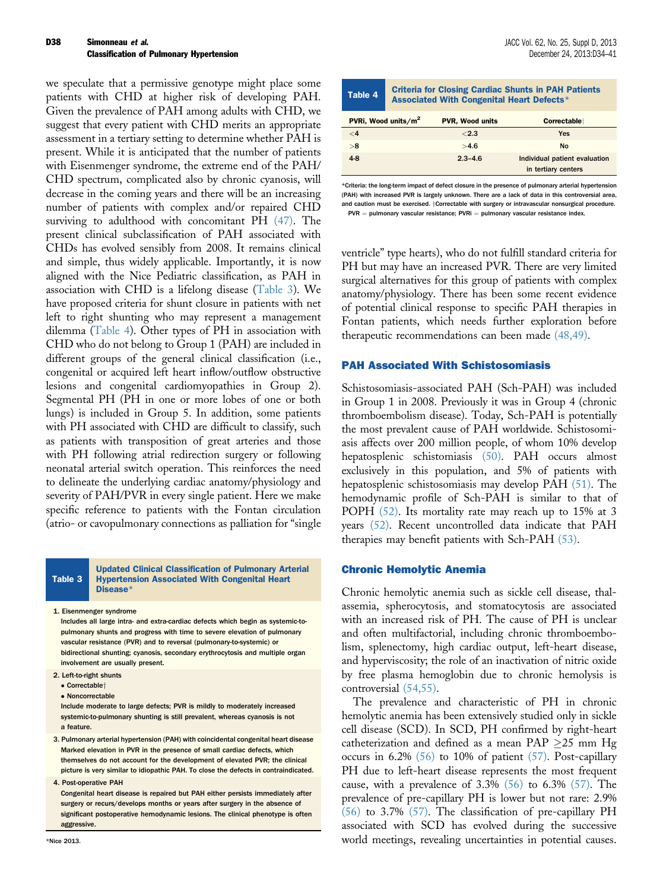#### Simonneau et al. **Simonneau et al.** JACC Vol. 62, No. 25, Suppl D, 2013 **Classification of Pulmonary Hypertension** December 24, 2013:D34-41 D38

we speculate that a permissive genotype might place some patients with CHD at higher risk of developing PAH. Given the prevalence of PAH among adults with CHD, we suggest that every patient with CHD merits an appropriate assessment in a tertiary setting to determine whether PAH is present. While it is anticipated that the number of patients with Eisenmenger syndrome, the extreme end of the PAH/ CHD spectrum, complicated also by chronic cyanosis, will decrease in the coming years and there will be an increasing number of patients with complex and/or repaired CHD surviving to adulthood with concomitant PH [\(47\).](#page-7-0) The present clinical subclassification of PAH associated with CHDs has evolved sensibly from 2008. It remains clinical and simple, thus widely applicable. Importantly, it is now aligned with the Nice Pediatric classification, as PAH in association with CHD is a lifelong disease (Table 3). We have proposed criteria for shunt closure in patients with net left to right shunting who may represent a management dilemma (Table 4). Other types of PH in association with CHD who do not belong to Group 1 (PAH) are included in different groups of the general clinical classification (i.e., congenital or acquired left heart inflow/outflow obstructive lesions and congenital cardiomyopathies in Group 2). Segmental PH (PH in one or more lobes of one or both lungs) is included in Group 5. In addition, some patients with PH associated with CHD are difficult to classify, such as patients with transposition of great arteries and those with PH following atrial redirection surgery or following neonatal arterial switch operation. This reinforces the need to delineate the underlying cardiac anatomy/physiology and severity of PAH/PVR in every single patient. Here we make specific reference to patients with the Fontan circulation (atrio- or cavopulmonary connections as palliation for "single

#### Table 3 Updated Clinical Classification of Pulmonary Arterial Hypertension Associated With Congenital Heart Disease\*

1. Eisenmenger syndrome

Includes all large intra- and extra-cardiac defects which begin as systemic-topulmonary shunts and progress with time to severe elevation of pulmonary vascular resistance (PVR) and to reversal (pulmonary-to-systemic) or bidirectional shunting; cyanosis, secondary erythrocytosis and multiple organ involvement are usually present.

- 2. Left-to-right shunts
	- $\bullet$  Correctable $\dagger$
	- Noncorrectable

Include moderate to large defects; PVR is mildly to moderately increased systemic-to-pulmonary shunting is still prevalent, whereas cyanosis is not a feature.

- 3. Pulmonary arterial hypertension (PAH) with coincidental congenital heart disease Marked elevation in PVR in the presence of small cardiac defects, which themselves do not account for the development of elevated PVR; the clinical picture is very similar to idiopathic PAH. To close the defects in contraindicated.
- 4. Post-operative PAH

Congenital heart disease is repaired but PAH either persists immediately after surgery or recurs/develops months or years after surgery in the absence of significant postoperative hemodynamic lesions. The clinical phenotype is often aggressive.

| Table 4                                                                           | <b>Criteria for Closing Cardiac Shunts in PAH Patients</b><br>Associated With Congenital Heart Defects* |             |                               |  |
|-----------------------------------------------------------------------------------|---------------------------------------------------------------------------------------------------------|-------------|-------------------------------|--|
| PVRi, Wood units/m <sup>2</sup><br><b>PVR, Wood units</b><br><b>Correctable</b> t |                                                                                                         |             |                               |  |
| $\leq 4$                                                                          |                                                                                                         | ${<}2.3$    | <b>Yes</b>                    |  |
| >8                                                                                |                                                                                                         | >4.6        | No                            |  |
| $4-8$                                                                             |                                                                                                         | $2.3 - 4.6$ | Individual patient evaluation |  |
|                                                                                   |                                                                                                         |             | in tertiary centers           |  |

\*Criteria: the long-term impact of defect closure in the presence of pulmonary arterial hypertension (PAH) with increased PVR is largely unknown. There are a lack of data in this controversial area, and caution must be exercised. +Correctable with surgery or intravascular nonsurgical procedure.  $PVR =$  pulmonary vascular resistance;  $PVRi =$  pulmonary vascular resistance index.

ventricle" type hearts), who do not fulfill standard criteria for PH but may have an increased PVR. There are very limited surgical alternatives for this group of patients with complex anatomy/physiology. There has been some recent evidence of potential clinical response to specific PAH therapies in Fontan patients, which needs further exploration before therapeutic recommendations can been made [\(48,49\).](#page-7-0)

### PAH Associated With Schistosomiasis

Schistosomiasis-associated PAH (Sch-PAH) was included in Group 1 in 2008. Previously it was in Group 4 (chronic thromboembolism disease). Today, Sch-PAH is potentially the most prevalent cause of PAH worldwide. Schistosomiasis affects over 200 million people, of whom 10% develop hepatosplenic schistomiasis [\(50\).](#page-7-0) PAH occurs almost exclusively in this population, and 5% of patients with hepatosplenic schistosomiasis may develop PAH [\(51\).](#page-7-0) The hemodynamic profile of Sch-PAH is similar to that of POPH [\(52\)](#page-7-0). Its mortality rate may reach up to 15% at 3 years [\(52\)](#page-7-0). Recent uncontrolled data indicate that PAH therapies may benefit patients with Sch-PAH [\(53\).](#page-7-0)

#### Chronic Hemolytic Anemia

Chronic hemolytic anemia such as sickle cell disease, thalassemia, spherocytosis, and stomatocytosis are associated with an increased risk of PH. The cause of PH is unclear and often multifactorial, including chronic thromboembolism, splenectomy, high cardiac output, left-heart disease, and hyperviscosity; the role of an inactivation of nitric oxide by free plasma hemoglobin due to chronic hemolysis is controversial [\(54,55\)](#page-7-0).

The prevalence and characteristic of PH in chronic hemolytic anemia has been extensively studied only in sickle cell disease (SCD). In SCD, PH confirmed by right-heart catheterization and defined as a mean PAP  $\geq$ 25 mm Hg occurs in 6.2% [\(56\)](#page-7-0) to 10% of patient [\(57\)](#page-7-0). Post-capillary PH due to left-heart disease represents the most frequent cause, with a prevalence of  $3.3\%$  [\(56\)](#page-7-0) to  $6.3\%$  [\(57\).](#page-7-0) The prevalence of pre-capillary PH is lower but not rare: 2.9% [\(56\)](#page-7-0) to 3.7% [\(57\)](#page-7-0). The classification of pre-capillary PH associated with SCD has evolved during the successive world meetings, revealing uncertainties in potential causes.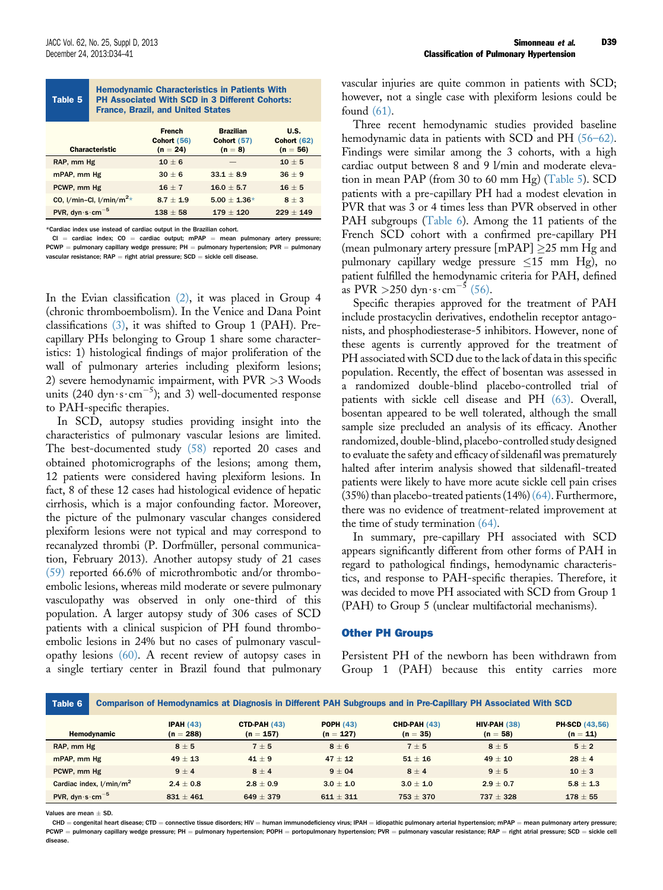| <b>Hemodynamic Characteristics in Patients With</b><br><b>PH Associated With SCD in 3 Different Cohorts:</b><br>Table 5<br><b>France, Brazil, and United States</b> |               |                    |                    |  |
|---------------------------------------------------------------------------------------------------------------------------------------------------------------------|---------------|--------------------|--------------------|--|
|                                                                                                                                                                     | <b>French</b> | <b>Brazilian</b>   | U.S.               |  |
|                                                                                                                                                                     | Cohort (56)   | <b>Cohort (57)</b> | <b>Cohort (62)</b> |  |

| <b>Characteristic</b>                       | <u>vviivit tvvi</u><br>$(n = 24)$ | $(n = 8)$        | "<br>$(n = 56)$ |
|---------------------------------------------|-----------------------------------|------------------|-----------------|
| RAP, mm Hg                                  | $10 + 6$                          |                  | $10 + 5$        |
| mPAP, mm Hg                                 | $30 + 6$                          | $33.1 + 8.9$     | $36 + 9$        |
| PCWP, mm Hg                                 | $16 + 7$                          | $16.0 \pm 5.7$   | $16 + 5$        |
| CO, $1/m$ in-Cl, $1/m$ in/m <sup>2</sup> *  | $8.7 + 1.9$                       | $5.00 \pm 1.36*$ | $8 + 3$         |
| PVR, dyn $\cdot$ s $\cdot$ cm <sup>-5</sup> | $138 \pm 58$                      | $179 \pm 120$    | $229 \pm 149$   |

\*Cardiac index use instead of cardiac output in the Brazilian cohort.

 $CI =$  cardiac index;  $CO =$  cardiac output; mPAP = mean pulmonary artery pressure;  $PCWP =$  pulmonary capillary wedge pressure; PH  $=$  pulmonary hypertension; PVR  $=$  pulmonary vascular resistance;  $RAP =$  right atrial pressure;  $SCD =$  sickle cell disease.

In the Evian classification [\(2\)](#page-6-0), it was placed in Group 4 (chronic thromboembolism). In the Venice and Dana Point classifications [\(3\),](#page-6-0) it was shifted to Group 1 (PAH). Precapillary PHs belonging to Group 1 share some characteristics: 1) histological findings of major proliferation of the wall of pulmonary arteries including plexiform lesions; 2) severe hemodynamic impairment, with PVR >3 Woods units (240 dyn $\cdot$ s $\cdot$ cm<sup>-5</sup>); and 3) well-documented response to PAH-specific therapies.

In SCD, autopsy studies providing insight into the characteristics of pulmonary vascular lesions are limited. The best-documented study [\(58\)](#page-7-0) reported 20 cases and obtained photomicrographs of the lesions; among them, 12 patients were considered having plexiform lesions. In fact, 8 of these 12 cases had histological evidence of hepatic cirrhosis, which is a major confounding factor. Moreover, the picture of the pulmonary vascular changes considered plexiform lesions were not typical and may correspond to recanalyzed thrombi (P. Dorfmüller, personal communication, February 2013). Another autopsy study of 21 cases [\(59\)](#page-7-0) reported 66.6% of microthrombotic and/or thromboembolic lesions, whereas mild moderate or severe pulmonary vasculopathy was observed in only one-third of this population. A larger autopsy study of 306 cases of SCD patients with a clinical suspicion of PH found thromboembolic lesions in 24% but no cases of pulmonary vasculopathy lesions [\(60\).](#page-7-0) A recent review of autopsy cases in a single tertiary center in Brazil found that pulmonary vascular injuries are quite common in patients with SCD; however, not a single case with plexiform lesions could be found [\(61\)](#page-7-0).

Three recent hemodynamic studies provided baseline hemodynamic data in patients with SCD and PH (56–[62\).](#page-7-0) Findings were similar among the 3 cohorts, with a high cardiac output between 8 and 9 l/min and moderate elevation in mean PAP (from 30 to 60 mm Hg) (Table 5). SCD patients with a pre-capillary PH had a modest elevation in PVR that was 3 or 4 times less than PVR observed in other PAH subgroups (Table 6). Among the 11 patients of the French SCD cohort with a confirmed pre-capillary PH (mean pulmonary artery pressure  $\text{[mPAP]} \geq 25 \text{ mm Hg}$  and pulmonary capillary wedge pressure  $\leq 15$  mm Hg), no patient fulfilled the hemodynamic criteria for PAH, defined as PVR  $>$  250 dyn · s · cm<sup>-5</sup> [\(56\).](#page-7-0)

Specific therapies approved for the treatment of PAH include prostacyclin derivatives, endothelin receptor antagonists, and phosphodiesterase-5 inhibitors. However, none of these agents is currently approved for the treatment of PH associated with SCD due to the lack of data in this specific population. Recently, the effect of bosentan was assessed in a randomized double-blind placebo-controlled trial of patients with sickle cell disease and PH [\(63\)](#page-7-0). Overall, bosentan appeared to be well tolerated, although the small sample size precluded an analysis of its efficacy. Another randomized, double-blind, placebo-controlled study designed to evaluate the safety and efficacy of sildenafil was prematurely halted after interim analysis showed that sildenafil-treated patients were likely to have more acute sickle cell pain crises (35%) than placebo-treated patients (14%) [\(64\)](#page-7-0). Furthermore, there was no evidence of treatment-related improvement at the time of study termination [\(64\).](#page-7-0)

In summary, pre-capillary PH associated with SCD appears significantly different from other forms of PAH in regard to pathological findings, hemodynamic characteristics, and response to PAH-specific therapies. Therefore, it was decided to move PH associated with SCD from Group 1 (PAH) to Group 5 (unclear multifactorial mechanisms).

#### Other PH Groups

Persistent PH of the newborn has been withdrawn from Group 1 (PAH) because this entity carries more

| Table 6                                     | Comparison of Hemodynamics at Diagnosis in Different PAH Subgroups and in Pre-Capillary PH Associated With SCD |                         |                              |                                 |                            |                             |                                     |
|---------------------------------------------|----------------------------------------------------------------------------------------------------------------|-------------------------|------------------------------|---------------------------------|----------------------------|-----------------------------|-------------------------------------|
|                                             | Hemodynamic                                                                                                    | IPAH(43)<br>$(n = 288)$ | $CTD-PAH(43)$<br>$(n = 157)$ | <b>POPH (43)</b><br>$(n = 127)$ | CHD-PAH (43)<br>$(n = 35)$ | $HIV-PAH(38)$<br>$(n = 58)$ | <b>PH-SCD (43,56)</b><br>$(n = 11)$ |
| RAP, mm Hg                                  |                                                                                                                | $8 \pm 5$               | $7 + 5$                      | $8 \pm 6$                       | $7 + 5$                    | $8+5$                       | $5 + 2$                             |
| mPAP, mm Hg                                 |                                                                                                                | $49 + 13$               | $41 + 9$                     | $47 + 12$                       | $51 + 16$                  | $49 + 10$                   | $28 + 4$                            |
| PCWP, mm Hg                                 |                                                                                                                | $9 + 4$                 | $8 + 4$                      | $9 + 04$                        | $8+4$                      | $9 + 5$                     | $10 \pm 3$                          |
| Cardiac index, $1/min/m2$                   |                                                                                                                | $2.4 + 0.8$             | $2.8 + 0.9$                  | $3.0 + 1.0$                     | $3.0 + 1.0$                | $2.9 + 0.7$                 | $5.8 \pm 1.3$                       |
| PVR, dyn $\cdot$ s $\cdot$ cm <sup>-5</sup> |                                                                                                                | $831 + 461$             | $649 + 379$                  | $611 + 311$                     | $753 + 370$                | $737 + 328$                 | $178 + 55$                          |

Values are mean  $\pm$  SD.

 $CHD =$  congenital heart disease; CTD = connective tissue disorders; HIV = human immunodeficiency virus; IPAH = idiopathic pulmonary arterial hypertension; mPAP = mean pulmonary artery pressure; PCWP = pulmonary capillary wedge pressure; PH = pulmonary hypertension; POPH = portopulmonary hypertension; PVR = pulmonary vascular resistance; RAP = right atrial pressure; SCD = sickle cell disease.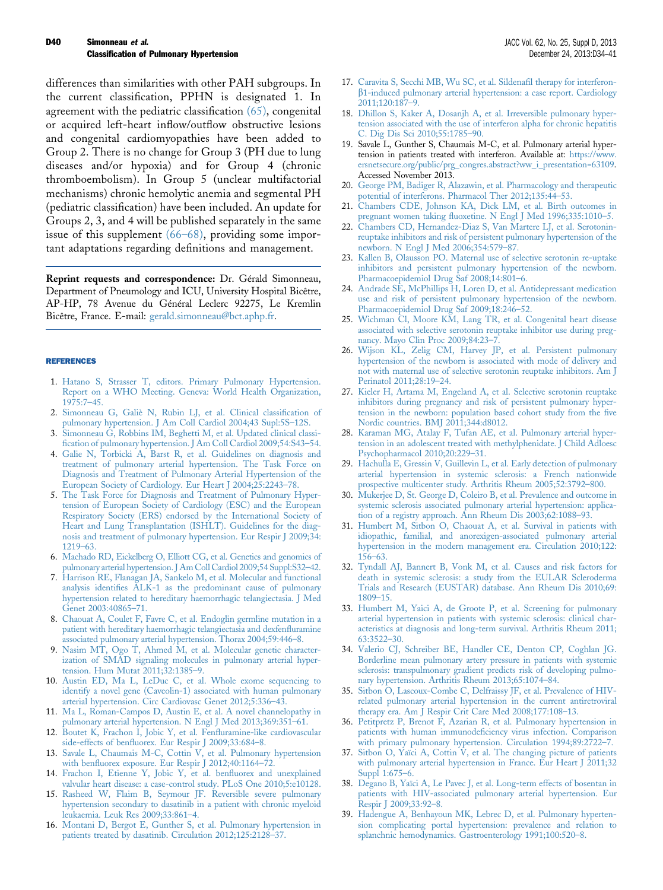<span id="page-6-0"></span>differences than similarities with other PAH subgroups. In the current classification, PPHN is designated 1. In agreement with the pediatric classification [\(65\),](#page-7-0) congenital or acquired left-heart inflow/outflow obstructive lesions and congenital cardiomyopathies have been added to Group 2. There is no change for Group 3 (PH due to lung diseases and/or hypoxia) and for Group 4 (chronic thromboembolism). In Group 5 (unclear multifactorial mechanisms) chronic hemolytic anemia and segmental PH (pediatric classification) have been included. An update for Groups 2, 3, and 4 will be published separately in the same issue of this supplement (66–[68\),](#page-7-0) providing some important adaptations regarding definitions and management.

Reprint requests and correspondence: Dr. Gérald Simonneau, Department of Pneumology and ICU, University Hospital Bicêtre, AP-HP, 78 Avenue du Général Leclerc 92275, Le Kremlin Bicêtre, France. E-mail: [gerald.simonneau@bct.aphp.fr](mailto:gerald.simonneau@bct.aphp.fr).

#### REFERENCES

- 1. [Hatano S, Strasser T, editors. Primary Pulmonary Hypertension.](http://refhub.elsevier.com/S0735-1097(13)05872-5/sref1) [Report on a WHO Meeting. Geneva: World Health Organization,](http://refhub.elsevier.com/S0735-1097(13)05872-5/sref1) [1975:7](http://refhub.elsevier.com/S0735-1097(13)05872-5/sref1)–45.
- 2. [Simonneau G, Galiè N, Rubin LJ, et al. Clinical classi](http://refhub.elsevier.com/S0735-1097(13)05872-5/sref2)fication of [pulmonary hypertension. J Am Coll Cardiol 2004;43 Supl:5S](http://refhub.elsevier.com/S0735-1097(13)05872-5/sref2)–12S.
- [Simonneau G, Robbins IM, Beghetti M, et al. Updated clinical classi](http://refhub.elsevier.com/S0735-1097(13)05872-5/sref3)fi[cation of pulmonary hypertension. J Am Coll Cardiol 2009;54:S43](http://refhub.elsevier.com/S0735-1097(13)05872-5/sref3)–54.
- 4. [Galie N, Torbicki A, Barst R, et al. Guidelines on diagnosis and](http://refhub.elsevier.com/S0735-1097(13)05872-5/sref4) [treatment of pulmonary arterial hypertension. The Task Force on](http://refhub.elsevier.com/S0735-1097(13)05872-5/sref4) [Diagnosis and Treatment of Pulmonary Arterial Hypertension of the](http://refhub.elsevier.com/S0735-1097(13)05872-5/sref4) [European Society of Cardiology. Eur Heart J 2004;25:2243](http://refhub.elsevier.com/S0735-1097(13)05872-5/sref4)–78.
- 5. [The Task Force for Diagnosis and Treatment of Pulmonary Hyper](http://refhub.elsevier.com/S0735-1097(13)05872-5/sref5)[tension of European Society of Cardiology \(ESC\) and the European](http://refhub.elsevier.com/S0735-1097(13)05872-5/sref5) [Respiratory Society \(ERS\) endorsed by the International Society of](http://refhub.elsevier.com/S0735-1097(13)05872-5/sref5) [Heart and Lung Transplantation \(ISHLT\). Guidelines for the diag](http://refhub.elsevier.com/S0735-1097(13)05872-5/sref5)[nosis and treatment of pulmonary hypertension. Eur Respir J 2009;34:](http://refhub.elsevier.com/S0735-1097(13)05872-5/sref5) [1219](http://refhub.elsevier.com/S0735-1097(13)05872-5/sref5)–63.
- 6. [Machado RD, Eickelberg O, Elliott CG, et al. Genetics and genomics of](http://refhub.elsevier.com/S0735-1097(13)05872-5/sref6) [pulmonary arterial hypertension. J Am Coll Cardiol 2009;54 Suppl:S32](http://refhub.elsevier.com/S0735-1097(13)05872-5/sref6)–42.
- 7. [Harrison RE, Flanagan JA, Sankelo M, et al. Molecular and functional](http://refhub.elsevier.com/S0735-1097(13)05872-5/sref6a) analysis identifi[es ALK-1 as the predominant cause of pulmonary](http://refhub.elsevier.com/S0735-1097(13)05872-5/sref6a) [hypertension related to hereditary haemorrhagic telangiectasia. J Med](http://refhub.elsevier.com/S0735-1097(13)05872-5/sref6a) [Genet 2003:40865](http://refhub.elsevier.com/S0735-1097(13)05872-5/sref6a)–71.
- 8. [Chaouat A, Coulet F, Favre C, et al. Endoglin germline mutation in a](http://refhub.elsevier.com/S0735-1097(13)05872-5/sref7) [patient with hereditary haemorrhagic telangiectasia and dexfen](http://refhub.elsevier.com/S0735-1097(13)05872-5/sref7)fluramine [associated pulmonary arterial hypertension. Thorax 2004;59:446](http://refhub.elsevier.com/S0735-1097(13)05872-5/sref7)–8.
- 9. [Nasim MT, Ogo T, Ahmed M, et al. Molecular genetic character](http://refhub.elsevier.com/S0735-1097(13)05872-5/sref8)[ization of SMAD signaling molecules in pulmonary arterial hyper](http://refhub.elsevier.com/S0735-1097(13)05872-5/sref8)[tension. Hum Mutat 2011;32:1385](http://refhub.elsevier.com/S0735-1097(13)05872-5/sref8)–9.
- 10. [Austin ED, Ma L, LeDuc C, et al. Whole exome sequencing to](http://refhub.elsevier.com/S0735-1097(13)05872-5/sref9) [identify a novel gene \(Caveolin-1\) associated with human pulmonary](http://refhub.elsevier.com/S0735-1097(13)05872-5/sref9) [arterial hypertension. Circ Cardiovasc Genet 2012;5:336](http://refhub.elsevier.com/S0735-1097(13)05872-5/sref9)–43.
- 11. [Ma L, Roman-Campos D, Austin E, et al. A novel channelopathy in](http://refhub.elsevier.com/S0735-1097(13)05872-5/sref10) [pulmonary arterial hypertension. N Engl J Med 2013;369:351](http://refhub.elsevier.com/S0735-1097(13)05872-5/sref10)–61.
- 12. [Boutet K, Frachon I, Jobic Y, et al. Fen](http://refhub.elsevier.com/S0735-1097(13)05872-5/sref11)fluramine-like cardiovascular side-effects of benfl[uorex. Eur Respir J 2009;33:684](http://refhub.elsevier.com/S0735-1097(13)05872-5/sref11)–8.
- 13. [Savale L, Chaumais M-C, Cottin V, et al. Pulmonary hypertension](http://refhub.elsevier.com/S0735-1097(13)05872-5/sref12) with benfl[uorex exposure. Eur Respir J 2012;40:1164](http://refhub.elsevier.com/S0735-1097(13)05872-5/sref12)–72.
- 14. [Frachon I, Etienne Y, Jobic Y, et al. ben](http://refhub.elsevier.com/S0735-1097(13)05872-5/sref13)fluorex and unexplained [valvular heart disease: a case-control study. PLoS One 2010;5:e10128.](http://refhub.elsevier.com/S0735-1097(13)05872-5/sref13)
- 15. [Rasheed W, Flaim B, Seymour JF. Reversible severe pulmonary](http://refhub.elsevier.com/S0735-1097(13)05872-5/sref14) [hypertension secondary to dasatinib in a patient with chronic myeloid](http://refhub.elsevier.com/S0735-1097(13)05872-5/sref14) [leukaemia. Leuk Res 2009;33:861](http://refhub.elsevier.com/S0735-1097(13)05872-5/sref14)–4.
- 16. [Montani D, Bergot E, Gunther S, et al. Pulmonary hypertension in](http://refhub.elsevier.com/S0735-1097(13)05872-5/sref15) [patients treated by dasatinib. Circulation 2012;125:2128](http://refhub.elsevier.com/S0735-1097(13)05872-5/sref15)–37.
- 17. [Caravita S, Secchi MB, Wu SC, et al. Sildena](http://refhub.elsevier.com/S0735-1097(13)05872-5/sref16)fil therapy for interferonb[1-induced pulmonary arterial hypertension: a case report. Cardiology](http://refhub.elsevier.com/S0735-1097(13)05872-5/sref16) [2011;120:187](http://refhub.elsevier.com/S0735-1097(13)05872-5/sref16)–9.
- 18. [Dhillon S, Kaker A, Dosanjh A, et al. Irreversible pulmonary hyper](http://refhub.elsevier.com/S0735-1097(13)05872-5/sref17)[tension associated with the use of interferon alpha for chronic hepatitis](http://refhub.elsevier.com/S0735-1097(13)05872-5/sref17) [C. Dig Dis Sci 2010;55:1785](http://refhub.elsevier.com/S0735-1097(13)05872-5/sref17)–90.
- 19. Savale L, Gunther S, Chaumais M-C, et al. Pulmonary arterial hypertension in patients treated with interferon. Available at: [https://www.](http://https://www.ersnetsecure.org/public/prg_congres.abstract?ww_i_presentation=63109) [ersnetsecure.org/public/prg\\_congres.abstract?ww\\_i\\_presentation=63109.](http://https://www.ersnetsecure.org/public/prg_congres.abstract?ww_i_presentation=63109) Accessed November 2013.
- 20. [George PM, Badiger R, Alazawin, et al. Pharmacology and therapeutic](http://refhub.elsevier.com/S0735-1097(13)05872-5/sref19) [potential of interferons. Pharmacol Ther 2012;135:44](http://refhub.elsevier.com/S0735-1097(13)05872-5/sref19)–53.
- 21. [Chambers CDE, Johnson KA, Dick LM, et al. Birth outcomes in](http://refhub.elsevier.com/S0735-1097(13)05872-5/sref20) pregnant women taking fl[uoxetine. N Engl J Med 1996;335:1010](http://refhub.elsevier.com/S0735-1097(13)05872-5/sref20)–5.
- 22. [Chambers CD, Hernandez-Diaz S, Van Martere LJ, et al. Serotonin](http://refhub.elsevier.com/S0735-1097(13)05872-5/sref21)[reuptake inhibitors and risk of persistent pulmonary hypertension of the](http://refhub.elsevier.com/S0735-1097(13)05872-5/sref21) [newborn. N Engl J Med 2006;354:579](http://refhub.elsevier.com/S0735-1097(13)05872-5/sref21)–87.
- 23. [Kallen B, Olausson PO. Maternal use of selective serotonin re-uptake](http://refhub.elsevier.com/S0735-1097(13)05872-5/sref22) [inhibitors and persistent pulmonary hypertension of the newborn.](http://refhub.elsevier.com/S0735-1097(13)05872-5/sref22) [Pharmacoepidemiol Drug Saf 2008;14:801](http://refhub.elsevier.com/S0735-1097(13)05872-5/sref22)–6.
- 24. [Andrade SE, McPhillips H, Loren D, et al. Antidepressant medication](http://refhub.elsevier.com/S0735-1097(13)05872-5/sref23) [use and risk of persistent pulmonary hypertension of the newborn.](http://refhub.elsevier.com/S0735-1097(13)05872-5/sref23) [Pharmacoepidemiol Drug Saf 2009;18:246](http://refhub.elsevier.com/S0735-1097(13)05872-5/sref23)–52.
- 25. [Wichman Cl, Moore KM, Lang TR, et al. Congenital heart disease](http://refhub.elsevier.com/S0735-1097(13)05872-5/sref24) [associated with selective serotonin reuptake inhibitor use during preg](http://refhub.elsevier.com/S0735-1097(13)05872-5/sref24)[nancy. Mayo Clin Proc 2009;84:23](http://refhub.elsevier.com/S0735-1097(13)05872-5/sref24)–7.
- 26. [Wijson KL, Zelig CM, Harvey JP, et al. Persistent pulmonary](http://refhub.elsevier.com/S0735-1097(13)05872-5/sref25) [hypertension of the newborn is associated with mode of delivery and](http://refhub.elsevier.com/S0735-1097(13)05872-5/sref25) [not with maternal use of selective serotonin reuptake inhibitors. Am J](http://refhub.elsevier.com/S0735-1097(13)05872-5/sref25) [Perinatol 2011;28:19](http://refhub.elsevier.com/S0735-1097(13)05872-5/sref25)–24.
- 27. [Kieler H, Artama M, Engeland A, et al. Selective serotonin reuptake](http://refhub.elsevier.com/S0735-1097(13)05872-5/sref26) [inhibitors during pregnancy and risk of persistent pulmonary hyper](http://refhub.elsevier.com/S0735-1097(13)05872-5/sref26)[tension in the newborn: population based cohort study from the](http://refhub.elsevier.com/S0735-1097(13)05872-5/sref26) five [Nordic countries. BMJ 2011;344:d8012.](http://refhub.elsevier.com/S0735-1097(13)05872-5/sref26)
- 28. [Karaman MG, Atalay F, Tufan AE, et al. Pulmonary arterial hyper](http://refhub.elsevier.com/S0735-1097(13)05872-5/sref27)[tension in an adolescent treated with methylphenidate. J Child Adloesc](http://refhub.elsevier.com/S0735-1097(13)05872-5/sref27) [Psychopharmacol 2010;20:229](http://refhub.elsevier.com/S0735-1097(13)05872-5/sref27)–31.
- 29. [Hachulla E, Gressin V, Guillevin L, et al. Early detection of pulmonary](http://refhub.elsevier.com/S0735-1097(13)05872-5/sref28) [arterial hypertension in systemic sclerosis: a French nationwide](http://refhub.elsevier.com/S0735-1097(13)05872-5/sref28) [prospective multicenter study. Arthritis Rheum 2005;52:3792](http://refhub.elsevier.com/S0735-1097(13)05872-5/sref28)–800.
- 30. [Mukerjee D, St. George D, Coleiro B, et al. Prevalence and outcome in](http://refhub.elsevier.com/S0735-1097(13)05872-5/sref29) [systemic sclerosis associated pulmonary arterial hypertension: applica](http://refhub.elsevier.com/S0735-1097(13)05872-5/sref29)[tion of a registry approach. Ann Rheum Dis 2003;62:1088](http://refhub.elsevier.com/S0735-1097(13)05872-5/sref29)–93.
- 31. [Humbert M, Sitbon O, Chaouat A, et al. Survival in patients with](http://refhub.elsevier.com/S0735-1097(13)05872-5/sref30) [idiopathic, familial, and anorexigen-associated pulmonary arterial](http://refhub.elsevier.com/S0735-1097(13)05872-5/sref30) [hypertension in the modern management era. Circulation 2010;122:](http://refhub.elsevier.com/S0735-1097(13)05872-5/sref30) [156](http://refhub.elsevier.com/S0735-1097(13)05872-5/sref30)–63.
- 32. [Tyndall AJ, Bannert B, Vonk M, et al. Causes and risk factors for](http://refhub.elsevier.com/S0735-1097(13)05872-5/sref31) [death in systemic sclerosis: a study from the EULAR Scleroderma](http://refhub.elsevier.com/S0735-1097(13)05872-5/sref31) [Trials and Research \(EUSTAR\) database. Ann Rheum Dis 2010;69:](http://refhub.elsevier.com/S0735-1097(13)05872-5/sref31) [1809](http://refhub.elsevier.com/S0735-1097(13)05872-5/sref31)–15.
- 33. [Humbert M, Yaici A, de Groote P, et al. Screening for pulmonary](http://refhub.elsevier.com/S0735-1097(13)05872-5/sref32) [arterial hypertension in patients with systemic sclerosis: clinical char](http://refhub.elsevier.com/S0735-1097(13)05872-5/sref32)[acteristics at diagnosis and long-term survival. Arthritis Rheum 2011;](http://refhub.elsevier.com/S0735-1097(13)05872-5/sref32) [63:3522](http://refhub.elsevier.com/S0735-1097(13)05872-5/sref32)–30.
- 34. [Valerio CJ, Schreiber BE, Handler CE, Denton CP, Coghlan JG.](http://refhub.elsevier.com/S0735-1097(13)05872-5/sref33) [Borderline mean pulmonary artery pressure in patients with systemic](http://refhub.elsevier.com/S0735-1097(13)05872-5/sref33) [sclerosis: transpulmonary gradient predicts risk of developing pulmo](http://refhub.elsevier.com/S0735-1097(13)05872-5/sref33)[nary hypertension. Arthritis Rheum 2013;65:1074](http://refhub.elsevier.com/S0735-1097(13)05872-5/sref33)–84.
- 35. [Sitbon O, Lascoux-Combe C, Delfraissy JF, et al. Prevalence of HIV](http://refhub.elsevier.com/S0735-1097(13)05872-5/sref34)[related pulmonary arterial hypertension in the current antiretroviral](http://refhub.elsevier.com/S0735-1097(13)05872-5/sref34) [therapy era. Am J Respir Crit Care Med 2008;177:108](http://refhub.elsevier.com/S0735-1097(13)05872-5/sref34)–13.
- 36. [Petitpretz P, Brenot F, Azarian R, et al. Pulmonary hypertension in](http://refhub.elsevier.com/S0735-1097(13)05872-5/sref35) patients with human immunodefi[ciency virus infection. Comparison](http://refhub.elsevier.com/S0735-1097(13)05872-5/sref35) [with primary pulmonary hypertension. Circulation 1994;89:2722](http://refhub.elsevier.com/S0735-1097(13)05872-5/sref35)–7.
- 37. [Sitbon O, Yaïci A, Cottin V, et al. The changing picture of patients](http://refhub.elsevier.com/S0735-1097(13)05872-5/sref36) [with pulmonary arterial hypertension in France. Eur Heart J 2011;32](http://refhub.elsevier.com/S0735-1097(13)05872-5/sref36) [Suppl 1:675](http://refhub.elsevier.com/S0735-1097(13)05872-5/sref36)–6.
- 38. [Degano B, Yaïci A, Le Pavec J, et al. Long-term effects of bosentan in](http://refhub.elsevier.com/S0735-1097(13)05872-5/sref37) [patients with HIV-associated pulmonary arterial hypertension. Eur](http://refhub.elsevier.com/S0735-1097(13)05872-5/sref37) [Respir J 2009;33:92](http://refhub.elsevier.com/S0735-1097(13)05872-5/sref37)–8.
- 39. [Hadengue A, Benhayoun MK, Lebrec D, et al. Pulmonary hyperten](http://refhub.elsevier.com/S0735-1097(13)05872-5/sref38)[sion complicating portal hypertension: prevalence and relation to](http://refhub.elsevier.com/S0735-1097(13)05872-5/sref38) [splanchnic hemodynamics. Gastroenterology 1991;100:520](http://refhub.elsevier.com/S0735-1097(13)05872-5/sref38)–8.